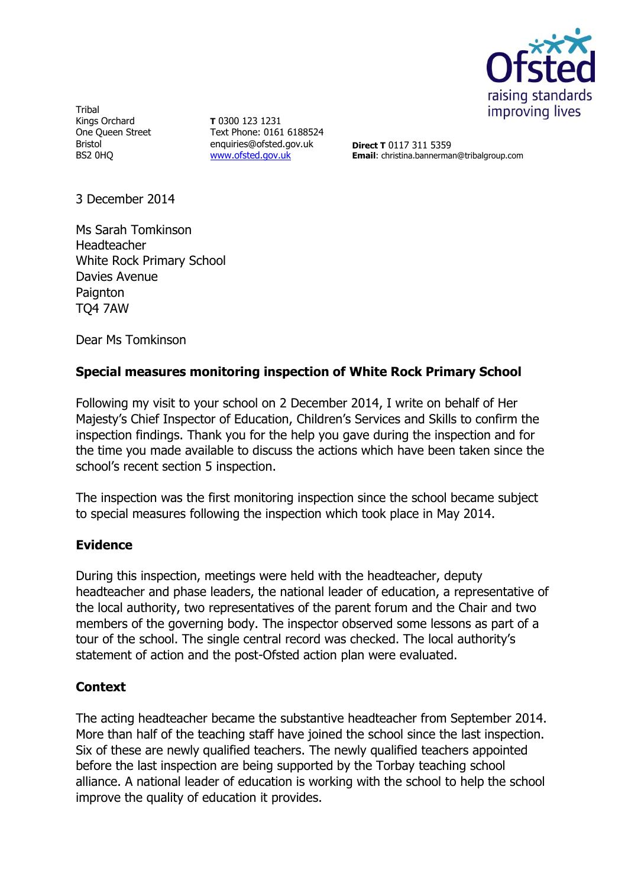

Tribal Kings Orchard One Queen Street Bristol BS2 0HQ

**T** 0300 123 1231 Text Phone: 0161 6188524 enquiries@ofsted.gov.uk [www.ofsted.gov.uk](http://www.ofsted.gov.uk/)

**Direct T** 0117 311 5359 **Email**: christina.bannerman@tribalgroup.com

3 December 2014

Ms Sarah Tomkinson Headteacher White Rock Primary School Davies Avenue **Paignton** TQ4 7AW

Dear Ms Tomkinson

## **Special measures monitoring inspection of White Rock Primary School**

Following my visit to your school on 2 December 2014, I write on behalf of Her Majesty's Chief Inspector of Education, Children's Services and Skills to confirm the inspection findings. Thank you for the help you gave during the inspection and for the time you made available to discuss the actions which have been taken since the school's recent section 5 inspection.

The inspection was the first monitoring inspection since the school became subject to special measures following the inspection which took place in May 2014.

## **Evidence**

During this inspection, meetings were held with the headteacher, deputy headteacher and phase leaders, the national leader of education, a representative of the local authority, two representatives of the parent forum and the Chair and two members of the governing body. The inspector observed some lessons as part of a tour of the school. The single central record was checked. The local authority's statement of action and the post-Ofsted action plan were evaluated.

## **Context**

The acting headteacher became the substantive headteacher from September 2014. More than half of the teaching staff have joined the school since the last inspection. Six of these are newly qualified teachers. The newly qualified teachers appointed before the last inspection are being supported by the Torbay teaching school alliance. A national leader of education is working with the school to help the school improve the quality of education it provides.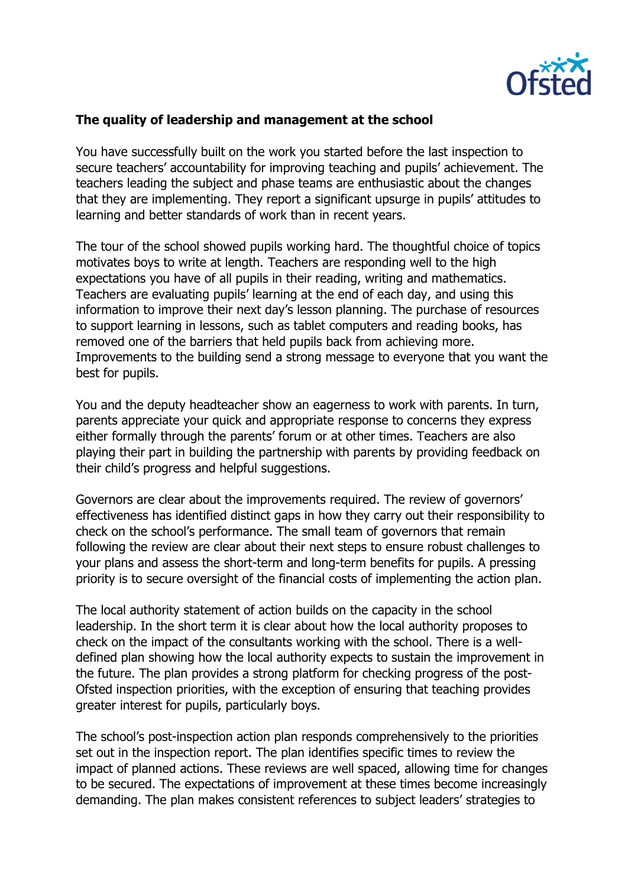

## **The quality of leadership and management at the school**

You have successfully built on the work you started before the last inspection to secure teachers' accountability for improving teaching and pupils' achievement. The teachers leading the subject and phase teams are enthusiastic about the changes that they are implementing. They report a significant upsurge in pupils' attitudes to learning and better standards of work than in recent years.

The tour of the school showed pupils working hard. The thoughtful choice of topics motivates boys to write at length. Teachers are responding well to the high expectations you have of all pupils in their reading, writing and mathematics. Teachers are evaluating pupils' learning at the end of each day, and using this information to improve their next day's lesson planning. The purchase of resources to support learning in lessons, such as tablet computers and reading books, has removed one of the barriers that held pupils back from achieving more. Improvements to the building send a strong message to everyone that you want the best for pupils.

You and the deputy headteacher show an eagerness to work with parents. In turn, parents appreciate your quick and appropriate response to concerns they express either formally through the parents' forum or at other times. Teachers are also playing their part in building the partnership with parents by providing feedback on their child's progress and helpful suggestions.

Governors are clear about the improvements required. The review of governors' effectiveness has identified distinct gaps in how they carry out their responsibility to check on the school's performance. The small team of governors that remain following the review are clear about their next steps to ensure robust challenges to your plans and assess the short-term and long-term benefits for pupils. A pressing priority is to secure oversight of the financial costs of implementing the action plan.

The local authority statement of action builds on the capacity in the school leadership. In the short term it is clear about how the local authority proposes to check on the impact of the consultants working with the school. There is a welldefined plan showing how the local authority expects to sustain the improvement in the future. The plan provides a strong platform for checking progress of the post-Ofsted inspection priorities, with the exception of ensuring that teaching provides greater interest for pupils, particularly boys.

The school's post-inspection action plan responds comprehensively to the priorities set out in the inspection report. The plan identifies specific times to review the impact of planned actions. These reviews are well spaced, allowing time for changes to be secured. The expectations of improvement at these times become increasingly demanding. The plan makes consistent references to subject leaders' strategies to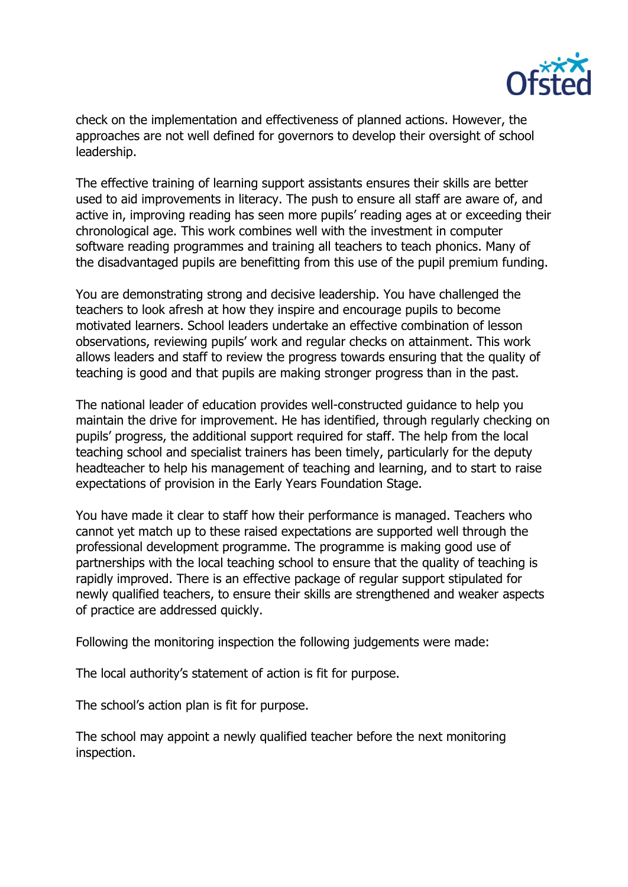

check on the implementation and effectiveness of planned actions. However, the approaches are not well defined for governors to develop their oversight of school leadership.

The effective training of learning support assistants ensures their skills are better used to aid improvements in literacy. The push to ensure all staff are aware of, and active in, improving reading has seen more pupils' reading ages at or exceeding their chronological age. This work combines well with the investment in computer software reading programmes and training all teachers to teach phonics. Many of the disadvantaged pupils are benefitting from this use of the pupil premium funding.

You are demonstrating strong and decisive leadership. You have challenged the teachers to look afresh at how they inspire and encourage pupils to become motivated learners. School leaders undertake an effective combination of lesson observations, reviewing pupils' work and regular checks on attainment. This work allows leaders and staff to review the progress towards ensuring that the quality of teaching is good and that pupils are making stronger progress than in the past.

The national leader of education provides well-constructed guidance to help you maintain the drive for improvement. He has identified, through regularly checking on pupils' progress, the additional support required for staff. The help from the local teaching school and specialist trainers has been timely, particularly for the deputy headteacher to help his management of teaching and learning, and to start to raise expectations of provision in the Early Years Foundation Stage.

You have made it clear to staff how their performance is managed. Teachers who cannot yet match up to these raised expectations are supported well through the professional development programme. The programme is making good use of partnerships with the local teaching school to ensure that the quality of teaching is rapidly improved. There is an effective package of regular support stipulated for newly qualified teachers, to ensure their skills are strengthened and weaker aspects of practice are addressed quickly.

Following the monitoring inspection the following judgements were made:

The local authority's statement of action is fit for purpose.

The school's action plan is fit for purpose.

The school may appoint a newly qualified teacher before the next monitoring inspection.